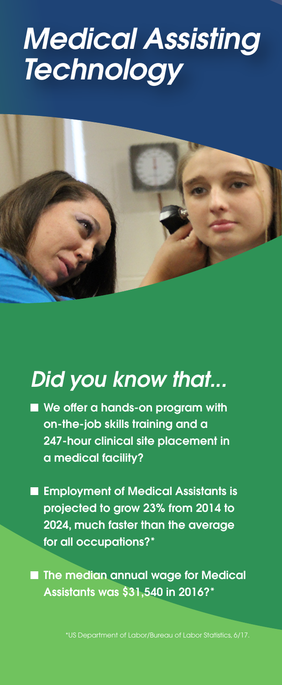## *[Medical Assisting](https://www.tricountyhightech.com/content/adult-mat) Technology*



## *Did you know that...*

- We offer a hands-on program with on-the-job skills training and a 247-hour clinical site placement in a medical facility?
- **Examployment of Medical Assistants is** projected to grow 23% from 2014 to 2024, much faster than the average for all occupations?\*

**n The median annual wage for Medical** Assistants was \$31,540 in 2016?\*